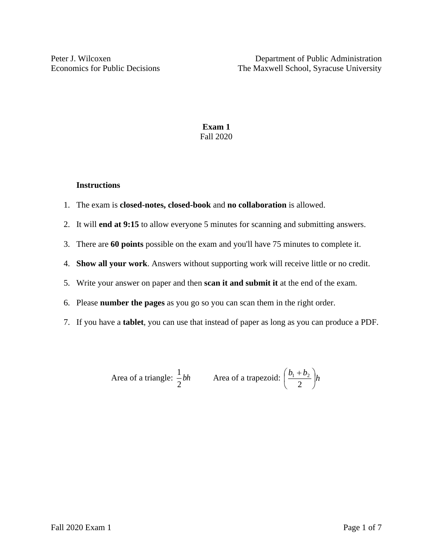## **Exam 1** Fall 2020

#### **Instructions**

- 1. The exam is **closed-notes, closed-book** and **no collaboration** is allowed.
- 2. It will **end at 9:15** to allow everyone 5 minutes for scanning and submitting answers.
- 3. There are **60 points** possible on the exam and you'll have 75 minutes to complete it.
- 4. **Show all your work**. Answers without supporting work will receive little or no credit.
- 5. Write your answer on paper and then **scan it and submit it** at the end of the exam.
- 6. Please **number the pages** as you go so you can scan them in the right order.
- 7. If you have a **tablet**, you can use that instead of paper as long as you can produce a PDF.

Area of a triangle: 
$$
\frac{1}{2}bh
$$
 Area of a trapezoid:  $\left(\frac{b_1 + b_2}{2}\right)h$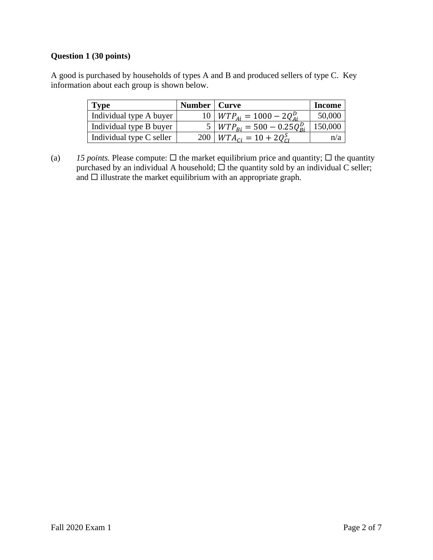# **Question 1 (30 points)**

A good is purchased by households of types A and B and produced sellers of type C. Key information about each group is shown below.

| <b>Type</b>              | Number   Curve |                                          | Income  |
|--------------------------|----------------|------------------------------------------|---------|
| Individual type A buyer  |                | $10 \mid WTP_{Ai} = 1000 - 2Q_{Ai}^D$    | 50,000  |
| Individual type B buyer  |                | $5 \mid WTP_{Bi} = 500 - 0.25Q_{Bi}^{D}$ | 150,000 |
| Individual type C seller | 200            | $WTA_{ci} = 10 + 2Q_{ci}^{S}$            | n/a     |

(a) *15 points.* Please compute:  $\Box$  the market equilibrium price and quantity;  $\Box$  the quantity purchased by an individual A household;  $\Box$  the quantity sold by an individual C seller; and  $\square$  illustrate the market equilibrium with an appropriate graph.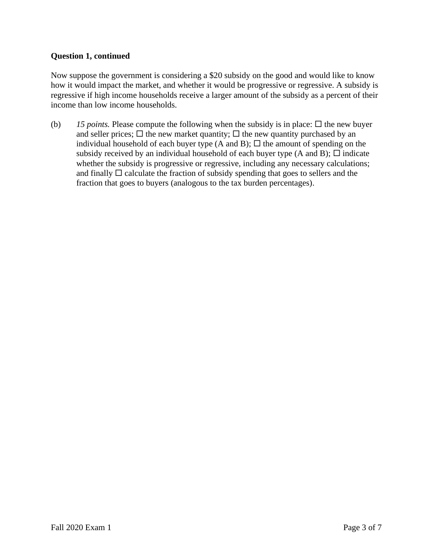### **Question 1, continued**

Now suppose the government is considering a \$20 subsidy on the good and would like to know how it would impact the market, and whether it would be progressive or regressive. A subsidy is regressive if high income households receive a larger amount of the subsidy as a percent of their income than low income households.

(b) 15 *points*. Please compute the following when the subsidy is in place:  $\Box$  the new buyer and seller prices;  $\Box$  the new market quantity;  $\Box$  the new quantity purchased by an individual household of each buyer type (A and B);  $\Box$  the amount of spending on the subsidy received by an individual household of each buyer type (A and B);  $\Box$  indicate whether the subsidy is progressive or regressive, including any necessary calculations; and finally  $\Box$  calculate the fraction of subsidy spending that goes to sellers and the fraction that goes to buyers (analogous to the tax burden percentages).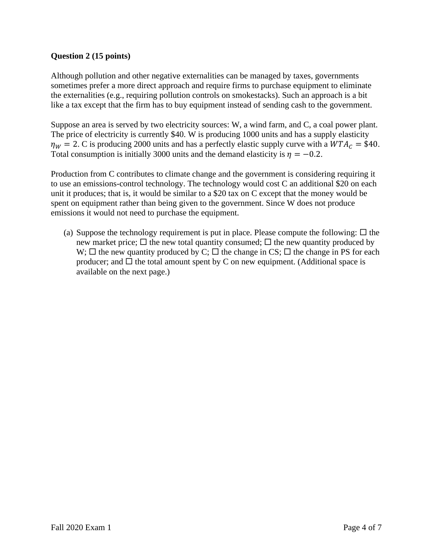# **Question 2 (15 points)**

Although pollution and other negative externalities can be managed by taxes, governments sometimes prefer a more direct approach and require firms to purchase equipment to eliminate the externalities (e.g., requiring pollution controls on smokestacks). Such an approach is a bit like a tax except that the firm has to buy equipment instead of sending cash to the government.

Suppose an area is served by two electricity sources: W, a wind farm, and C, a coal power plant. The price of electricity is currently \$40. W is producing 1000 units and has a supply elasticity  $\eta_W = 2$ . C is producing 2000 units and has a perfectly elastic supply curve with a  $WTA_C = $40$ . Total consumption is initially 3000 units and the demand elasticity is  $\eta = -0.2$ .

Production from C contributes to climate change and the government is considering requiring it to use an emissions-control technology. The technology would cost C an additional \$20 on each unit it produces; that is, it would be similar to a \$20 tax on C except that the money would be spent on equipment rather than being given to the government. Since W does not produce emissions it would not need to purchase the equipment.

(a) Suppose the technology requirement is put in place. Please compute the following:  $\Box$  the new market price;  $\Box$  the new total quantity consumed;  $\Box$  the new quantity produced by W;  $\Box$  the new quantity produced by C;  $\Box$  the change in CS;  $\Box$  the change in PS for each producer; and  $\Box$  the total amount spent by C on new equipment. (Additional space is available on the next page.)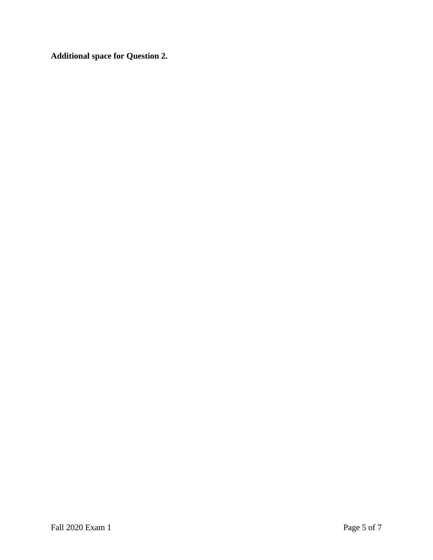**Additional space for Question 2.**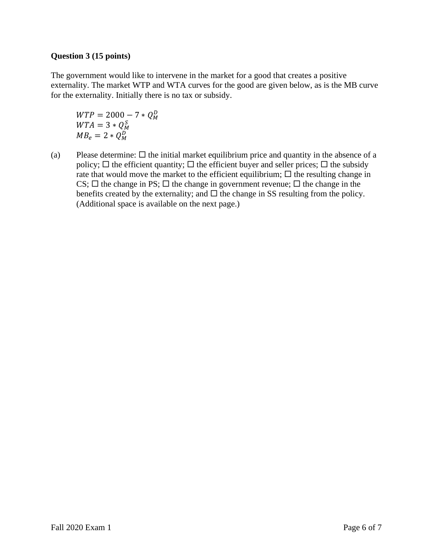## **Question 3 (15 points)**

The government would like to intervene in the market for a good that creates a positive externality. The market WTP and WTA curves for the good are given below, as is the MB curve for the externality. Initially there is no tax or subsidy.

 $WTP = 2000 - 7 * Q_M^D$  $WTA = 3 * Q_M^S$  $MB_e = 2 * Q_M^D$ 

(a) Please determine:  $\Box$  the initial market equilibrium price and quantity in the absence of a policy;  $\Box$  the efficient quantity;  $\Box$  the efficient buyer and seller prices;  $\Box$  the subsidy rate that would move the market to the efficient equilibrium;  $\Box$  the resulting change in CS;  $\Box$  the change in PS;  $\Box$  the change in government revenue;  $\Box$  the change in the benefits created by the externality; and  $\Box$  the change in SS resulting from the policy. (Additional space is available on the next page.)